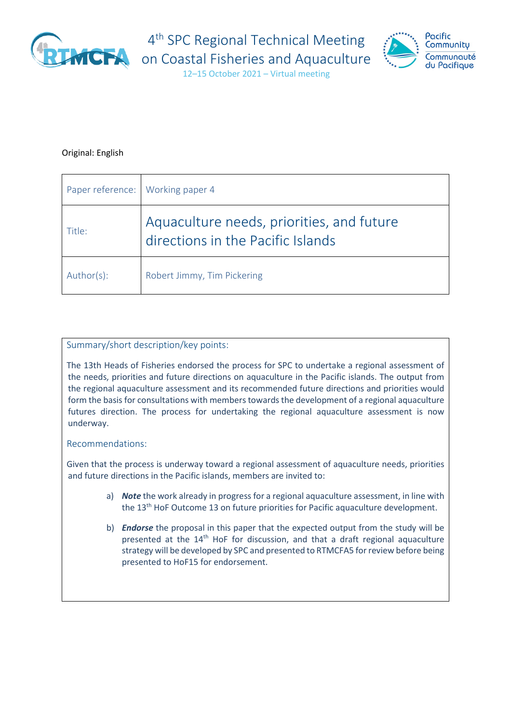

4<sup>th</sup> SPC Regional Technical Meeting



12–15 October 2021 – Virtual meeting

### Original: English

| Paper reference: Working paper 4 |                                                                                |
|----------------------------------|--------------------------------------------------------------------------------|
| Title:                           | Aquaculture needs, priorities, and future<br>directions in the Pacific Islands |
| Author(s):                       | Robert Jimmy, Tim Pickering                                                    |

### Summary/short description/key points:

The 13th Heads of Fisheries endorsed the process for SPC to undertake a regional assessment of the needs, priorities and future directions on aquaculture in the Pacific islands. The output from the regional aquaculture assessment and its recommended future directions and priorities would form the basis for consultations with members towards the development of a regional aquaculture futures direction. The process for undertaking the regional aquaculture assessment is now underway.

### Recommendations:

Given that the process is underway toward a regional assessment of aquaculture needs, priorities and future directions in the Pacific islands, members are invited to:

- a) *Note* the work already in progress for a regional aquaculture assessment, in line with the 13<sup>th</sup> HoF Outcome 13 on future priorities for Pacific aquaculture development.
- b) *Endorse* the proposal in this paper that the expected output from the study will be presented at the 14<sup>th</sup> HoF for discussion, and that a draft regional aquaculture strategy will be developed by SPC and presented to RTMCFA5 for review before being presented to HoF15 for endorsement.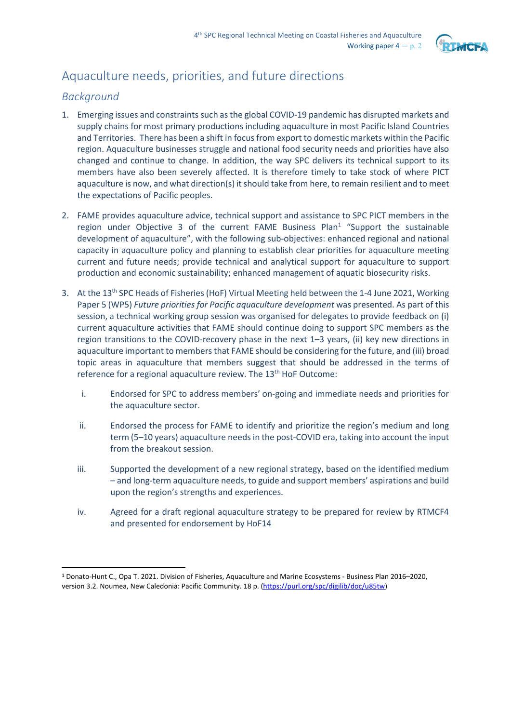

# Aquaculture needs, priorities, and future directions

## *Background*

- 1. Emerging issues and constraints such as the global COVID-19 pandemic has disrupted markets and supply chains for most primary productions including aquaculture in most Pacific Island Countries and Territories. There has been a shift in focus from export to domestic markets within the Pacific region. Aquaculture businesses struggle and national food security needs and priorities have also changed and continue to change. In addition, the way SPC delivers its technical support to its members have also been severely affected. It is therefore timely to take stock of where PICT aquaculture is now, and what direction(s) it should take from here, to remain resilient and to meet the expectations of Pacific peoples.
- 2. FAME provides aquaculture advice, technical support and assistance to SPC PICT members in the region under Objective 3 of the current FAME Business Plan<sup>[1](#page-1-0)</sup> "Support the sustainable development of aquaculture", with the following sub-objectives: enhanced regional and national capacity in aquaculture policy and planning to establish clear priorities for aquaculture meeting current and future needs; provide technical and analytical support for aquaculture to support production and economic sustainability; enhanced management of aquatic biosecurity risks.
- 3. At the 13<sup>th</sup> SPC Heads of Fisheries (HoF) Virtual Meeting held between the 1-4 June 2021, Working Paper 5 (WP5) *Future priorities for Pacific aquaculture development* was presented. As part of this session, a technical working group session was organised for delegates to provide feedback on (i) current aquaculture activities that FAME should continue doing to support SPC members as the region transitions to the COVID-recovery phase in the next 1–3 years, (ii) key new directions in aquaculture important to members that FAME should be considering for the future, and (iii) broad topic areas in aquaculture that members suggest that should be addressed in the terms of reference for a regional aquaculture review. The 13<sup>th</sup> HoF Outcome:
	- i. Endorsed for SPC to address members' on-going and immediate needs and priorities for the aquaculture sector.
	- ii. Endorsed the process for FAME to identify and prioritize the region's medium and long term (5–10 years) aquaculture needs in the post-COVID era, taking into account the input from the breakout session.
	- iii. Supported the development of a new regional strategy, based on the identified medium – and long-term aquaculture needs, to guide and support members' aspirations and build upon the region's strengths and experiences.
	- iv. Agreed for a draft regional aquaculture strategy to be prepared for review by RTMCF4 and presented for endorsement by HoF14

<span id="page-1-0"></span><sup>1</sup> Donato-Hunt C., Opa T. 2021. Division of Fisheries, Aquaculture and Marine Ecosystems - Business Plan 2016–2020, version 3.2. Noumea, New Caledonia: Pacific Community. 18 p. [\(https://purl.org/spc/digilib/doc/u85tw\)](https://purl.org/spc/digilib/doc/u85tw)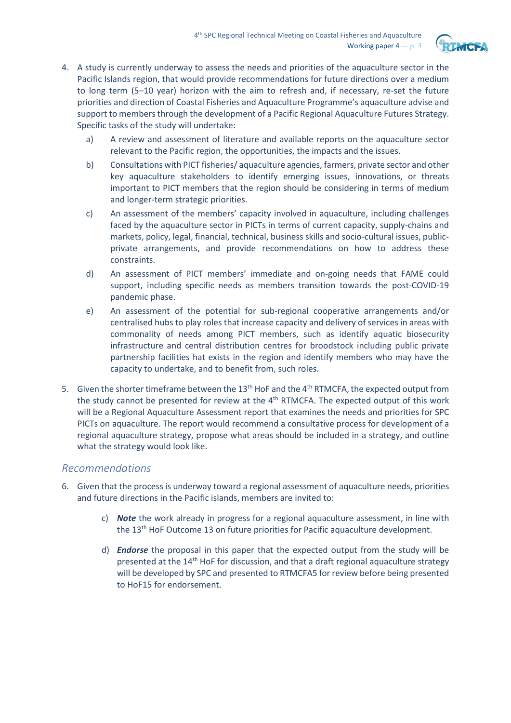

- 4. A study is currently underway to assess the needs and priorities of the aquaculture sector in the Pacific Islands region, that would provide recommendations for future directions over a medium to long term (5–10 year) horizon with the aim to refresh and, if necessary, re-set the future priorities and direction of Coastal Fisheries and Aquaculture Programme's aquaculture advise and support to members through the development of a Pacific Regional Aquaculture Futures Strategy. Specific tasks of the study will undertake:
	- a) A review and assessment of literature and available reports on the aquaculture sector relevant to the Pacific region, the opportunities, the impacts and the issues.
	- b) Consultations with PICT fisheries/ aquaculture agencies, farmers, private sector and other key aquaculture stakeholders to identify emerging issues, innovations, or threats important to PICT members that the region should be considering in terms of medium and longer-term strategic priorities.
	- c) An assessment of the members' capacity involved in aquaculture, including challenges faced by the aquaculture sector in PICTs in terms of current capacity, supply-chains and markets, policy, legal, financial, technical, business skills and socio-cultural issues, publicprivate arrangements, and provide recommendations on how to address these constraints.
	- d) An assessment of PICT members' immediate and on-going needs that FAME could support, including specific needs as members transition towards the post-COVID-19 pandemic phase.
	- e) An assessment of the potential for sub-regional cooperative arrangements and/or centralised hubs to play roles that increase capacity and delivery of services in areas with commonality of needs among PICT members, such as identify aquatic biosecurity infrastructure and central distribution centres for broodstock including public private partnership facilities hat exists in the region and identify members who may have the capacity to undertake, and to benefit from, such roles.
- 5. Given the shorter timeframe between the 13<sup>th</sup> HoF and the 4<sup>th</sup> RTMCFA, the expected output from the study cannot be presented for review at the  $4<sup>th</sup>$  RTMCFA. The expected output of this work will be a Regional Aquaculture Assessment report that examines the needs and priorities for SPC PICTs on aquaculture. The report would recommend a consultative process for development of a regional aquaculture strategy, propose what areas should be included in a strategy, and outline what the strategy would look like.

### *Recommendations*

- 6. Given that the process is underway toward a regional assessment of aquaculture needs, priorities and future directions in the Pacific islands, members are invited to:
	- c) *Note* the work already in progress for a regional aquaculture assessment, in line with the 13<sup>th</sup> HoF Outcome 13 on future priorities for Pacific aquaculture development.
	- d) *Endorse* the proposal in this paper that the expected output from the study will be presented at the 14th HoF for discussion, and that a draft regional aquaculture strategy will be developed by SPC and presented to RTMCFA5 for review before being presented to HoF15 for endorsement.